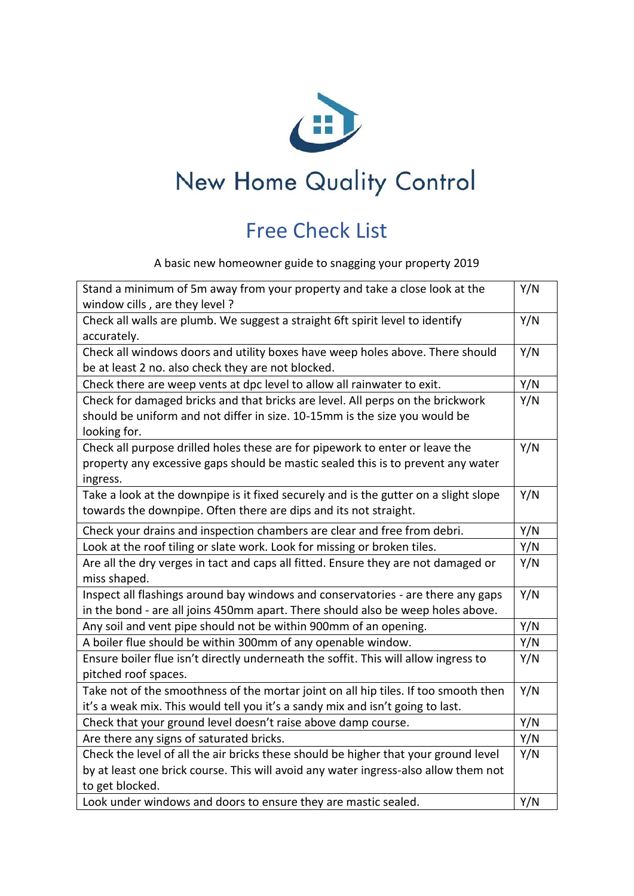

## New Home Quality Control

## Free Check List

A basic new homeowner guide to snagging your property 2019

| Stand a minimum of 5m away from your property and take a close look at the           | Y/N |
|--------------------------------------------------------------------------------------|-----|
| window cills, are they level?                                                        |     |
| Check all walls are plumb. We suggest a straight 6ft spirit level to identify        | Y/N |
| accurately.                                                                          |     |
| Check all windows doors and utility boxes have weep holes above. There should        | Y/N |
| be at least 2 no. also check they are not blocked.                                   |     |
| Check there are weep vents at dpc level to allow all rainwater to exit.              | Y/N |
| Check for damaged bricks and that bricks are level. All perps on the brickwork       | Y/N |
| should be uniform and not differ in size. 10-15mm is the size you would be           |     |
| looking for.                                                                         |     |
| Check all purpose drilled holes these are for pipework to enter or leave the         | Y/N |
| property any excessive gaps should be mastic sealed this is to prevent any water     |     |
| ingress.                                                                             |     |
| Take a look at the downpipe is it fixed securely and is the gutter on a slight slope | Y/N |
| towards the downpipe. Often there are dips and its not straight.                     |     |
| Check your drains and inspection chambers are clear and free from debri.             | Y/N |
| Look at the roof tiling or slate work. Look for missing or broken tiles.             | Y/N |
| Are all the dry verges in tact and caps all fitted. Ensure they are not damaged or   | Y/N |
| miss shaped.                                                                         |     |
| Inspect all flashings around bay windows and conservatories - are there any gaps     | Y/N |
| in the bond - are all joins 450mm apart. There should also be weep holes above.      |     |
| Any soil and vent pipe should not be within 900mm of an opening.                     | Y/N |
| A boiler flue should be within 300mm of any openable window.                         | Y/N |
| Ensure boiler flue isn't directly underneath the soffit. This will allow ingress to  | Y/N |
| pitched roof spaces.                                                                 |     |
| Take not of the smoothness of the mortar joint on all hip tiles. If too smooth then  | Y/N |
| it's a weak mix. This would tell you it's a sandy mix and isn't going to last.       |     |
| Check that your ground level doesn't raise above damp course.                        | Y/N |
| Are there any signs of saturated bricks.                                             | Y/N |
| Check the level of all the air bricks these should be higher that your ground level  | Y/N |
| by at least one brick course. This will avoid any water ingress-also allow them not  |     |
| to get blocked.                                                                      |     |
| Look under windows and doors to ensure they are mastic sealed.                       | Y/N |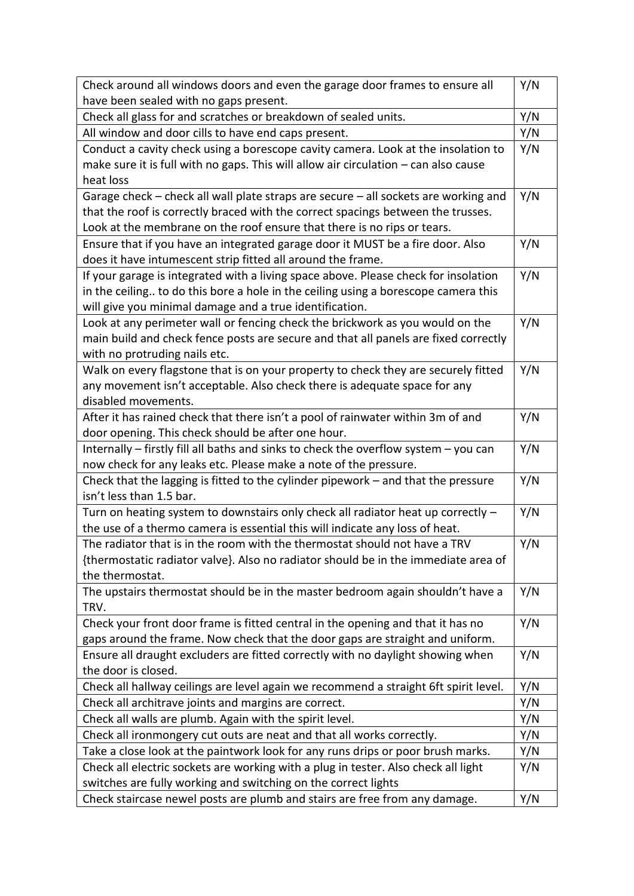| Check around all windows doors and even the garage door frames to ensure all                           | Y/N |
|--------------------------------------------------------------------------------------------------------|-----|
| have been sealed with no gaps present.                                                                 |     |
| Check all glass for and scratches or breakdown of sealed units.                                        | Y/N |
| All window and door cills to have end caps present.                                                    | Y/N |
| Conduct a cavity check using a borescope cavity camera. Look at the insolation to                      | Y/N |
| make sure it is full with no gaps. This will allow air circulation - can also cause                    |     |
| heat loss                                                                                              |     |
| Garage check – check all wall plate straps are secure – all sockets are working and                    | Y/N |
| that the roof is correctly braced with the correct spacings between the trusses.                       |     |
| Look at the membrane on the roof ensure that there is no rips or tears.                                |     |
| Ensure that if you have an integrated garage door it MUST be a fire door. Also                         | Y/N |
| does it have intumescent strip fitted all around the frame.                                            |     |
| If your garage is integrated with a living space above. Please check for insolation                    | Y/N |
| in the ceiling to do this bore a hole in the ceiling using a borescope camera this                     |     |
| will give you minimal damage and a true identification.                                                |     |
| Look at any perimeter wall or fencing check the brickwork as you would on the                          | Y/N |
| main build and check fence posts are secure and that all panels are fixed correctly                    |     |
| with no protruding nails etc.                                                                          |     |
| Walk on every flagstone that is on your property to check they are securely fitted                     | Y/N |
| any movement isn't acceptable. Also check there is adequate space for any                              |     |
| disabled movements.                                                                                    |     |
| After it has rained check that there isn't a pool of rainwater within 3m of and                        | Y/N |
| door opening. This check should be after one hour.                                                     |     |
| Internally - firstly fill all baths and sinks to check the overflow system - you can                   | Y/N |
| now check for any leaks etc. Please make a note of the pressure.                                       |     |
| Check that the lagging is fitted to the cylinder pipework - and that the pressure                      | Y/N |
| isn't less than 1.5 bar.                                                                               |     |
| Turn on heating system to downstairs only check all radiator heat up correctly -                       | Y/N |
| the use of a thermo camera is essential this will indicate any loss of heat.                           |     |
| The radiator that is in the room with the thermostat should not have a TRV                             | Y/N |
| {thermostatic radiator valve}. Also no radiator should be in the immediate area of                     |     |
| the thermostat.                                                                                        |     |
| The upstairs thermostat should be in the master bedroom again shouldn't have a                         | Y/N |
| TRV.                                                                                                   |     |
| Check your front door frame is fitted central in the opening and that it has no                        | Y/N |
| gaps around the frame. Now check that the door gaps are straight and uniform.                          |     |
| Ensure all draught excluders are fitted correctly with no daylight showing when<br>the door is closed. | Y/N |
|                                                                                                        |     |
| Check all hallway ceilings are level again we recommend a straight 6ft spirit level.                   | Y/N |
| Check all architrave joints and margins are correct.                                                   | Y/N |
| Check all walls are plumb. Again with the spirit level.                                                | Y/N |
| Check all ironmongery cut outs are neat and that all works correctly.                                  | Y/N |
| Take a close look at the paintwork look for any runs drips or poor brush marks.                        | Y/N |
| Check all electric sockets are working with a plug in tester. Also check all light                     | Y/N |
| switches are fully working and switching on the correct lights                                         |     |
| Check staircase newel posts are plumb and stairs are free from any damage.                             | Y/N |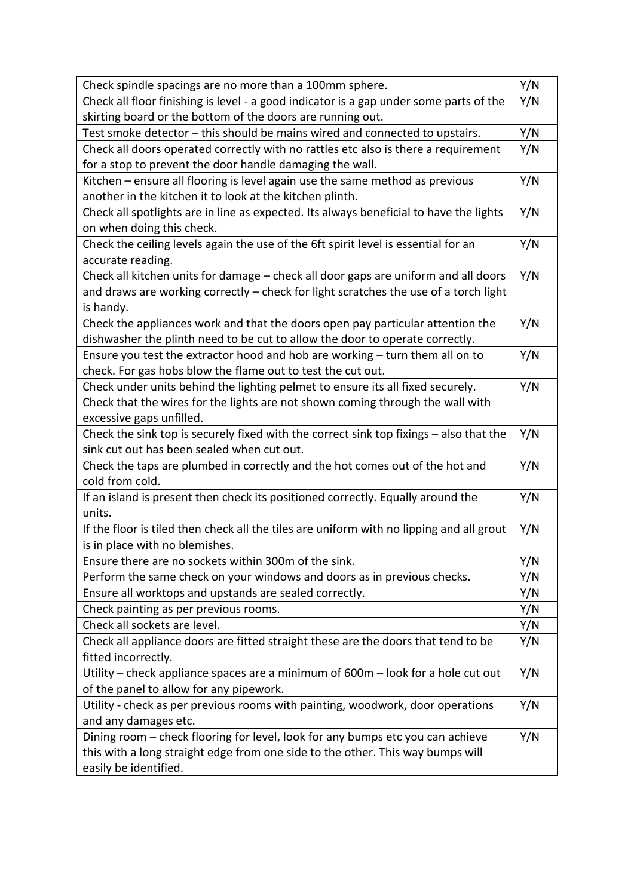| Check spindle spacings are no more than a 100mm sphere.                                  | Y/N |
|------------------------------------------------------------------------------------------|-----|
| Check all floor finishing is level - a good indicator is a gap under some parts of the   | Y/N |
| skirting board or the bottom of the doors are running out.                               |     |
| Test smoke detector - this should be mains wired and connected to upstairs.              | Y/N |
| Check all doors operated correctly with no rattles etc also is there a requirement       | Y/N |
| for a stop to prevent the door handle damaging the wall.                                 |     |
| Kitchen - ensure all flooring is level again use the same method as previous             | Y/N |
| another in the kitchen it to look at the kitchen plinth.                                 |     |
| Check all spotlights are in line as expected. Its always beneficial to have the lights   | Y/N |
| on when doing this check.                                                                |     |
| Check the ceiling levels again the use of the 6ft spirit level is essential for an       | Y/N |
| accurate reading.                                                                        |     |
| Check all kitchen units for damage - check all door gaps are uniform and all doors       | Y/N |
| and draws are working correctly - check for light scratches the use of a torch light     |     |
| is handy.                                                                                |     |
| Check the appliances work and that the doors open pay particular attention the           | Y/N |
| dishwasher the plinth need to be cut to allow the door to operate correctly.             |     |
| Ensure you test the extractor hood and hob are working - turn them all on to             | Y/N |
| check. For gas hobs blow the flame out to test the cut out.                              |     |
| Check under units behind the lighting pelmet to ensure its all fixed securely.           | Y/N |
| Check that the wires for the lights are not shown coming through the wall with           |     |
| excessive gaps unfilled.                                                                 |     |
| Check the sink top is securely fixed with the correct sink top fixings - also that the   | Y/N |
| sink cut out has been sealed when cut out.                                               |     |
| Check the taps are plumbed in correctly and the hot comes out of the hot and             | Y/N |
| cold from cold.                                                                          |     |
| If an island is present then check its positioned correctly. Equally around the          | Y/N |
| units.                                                                                   |     |
| If the floor is tiled then check all the tiles are uniform with no lipping and all grout | Y/N |
| is in place with no blemishes.                                                           |     |
| Ensure there are no sockets within 300m of the sink.                                     | Y/N |
| Perform the same check on your windows and doors as in previous checks.                  | Y/N |
| Ensure all worktops and upstands are sealed correctly.                                   | Y/N |
| Check painting as per previous rooms.                                                    | Y/N |
| Check all sockets are level.                                                             | Y/N |
| Check all appliance doors are fitted straight these are the doors that tend to be        | Y/N |
| fitted incorrectly.                                                                      |     |
| Utility – check appliance spaces are a minimum of 600m – look for a hole cut out         | Y/N |
| of the panel to allow for any pipework.                                                  |     |
| Utility - check as per previous rooms with painting, woodwork, door operations           | Y/N |
| and any damages etc.                                                                     |     |
| Dining room – check flooring for level, look for any bumps etc you can achieve           | Y/N |
| this with a long straight edge from one side to the other. This way bumps will           |     |
| easily be identified.                                                                    |     |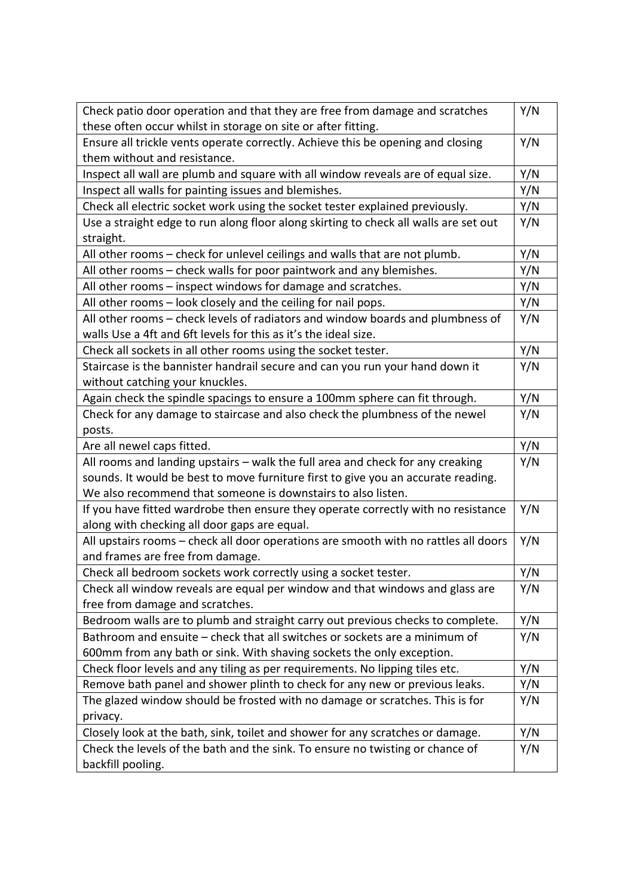| Check patio door operation and that they are free from damage and scratches          | Y/N |
|--------------------------------------------------------------------------------------|-----|
| these often occur whilst in storage on site or after fitting.                        |     |
| Ensure all trickle vents operate correctly. Achieve this be opening and closing      | Y/N |
| them without and resistance.                                                         |     |
| Inspect all wall are plumb and square with all window reveals are of equal size.     | Y/N |
| Inspect all walls for painting issues and blemishes.                                 | Y/N |
| Check all electric socket work using the socket tester explained previously.         | Y/N |
| Use a straight edge to run along floor along skirting to check all walls are set out | Y/N |
| straight.                                                                            |     |
| All other rooms - check for unlevel ceilings and walls that are not plumb.           | Y/N |
| All other rooms – check walls for poor paintwork and any blemishes.                  | Y/N |
| All other rooms - inspect windows for damage and scratches.                          | Y/N |
| All other rooms - look closely and the ceiling for nail pops.                        | Y/N |
| All other rooms - check levels of radiators and window boards and plumbness of       | Y/N |
| walls Use a 4ft and 6ft levels for this as it's the ideal size.                      |     |
| Check all sockets in all other rooms using the socket tester.                        | Y/N |
| Staircase is the bannister handrail secure and can you run your hand down it         | Y/N |
| without catching your knuckles.                                                      |     |
| Again check the spindle spacings to ensure a 100mm sphere can fit through.           | Y/N |
| Check for any damage to staircase and also check the plumbness of the newel          | Y/N |
| posts.                                                                               |     |
| Are all newel caps fitted.                                                           | Y/N |
| All rooms and landing upstairs - walk the full area and check for any creaking       | Y/N |
| sounds. It would be best to move furniture first to give you an accurate reading.    |     |
| We also recommend that someone is downstairs to also listen.                         |     |
| If you have fitted wardrobe then ensure they operate correctly with no resistance    | Y/N |
| along with checking all door gaps are equal.                                         |     |
| All upstairs rooms - check all door operations are smooth with no rattles all doors  | Y/N |
| and frames are free from damage.                                                     |     |
| Check all bedroom sockets work correctly using a socket tester.                      | Y/N |
| Check all window reveals are equal per window and that windows and glass are         | Y/N |
| free from damage and scratches.                                                      |     |
| Bedroom walls are to plumb and straight carry out previous checks to complete.       | Y/N |
| Bathroom and ensuite - check that all switches or sockets are a minimum of           | Y/N |
| 600mm from any bath or sink. With shaving sockets the only exception.                |     |
| Check floor levels and any tiling as per requirements. No lipping tiles etc.         | Y/N |
| Remove bath panel and shower plinth to check for any new or previous leaks.          | Y/N |
|                                                                                      |     |
| The glazed window should be frosted with no damage or scratches. This is for         | Y/N |
| privacy.                                                                             |     |
| Closely look at the bath, sink, toilet and shower for any scratches or damage.       | Y/N |
| Check the levels of the bath and the sink. To ensure no twisting or chance of        | Y/N |